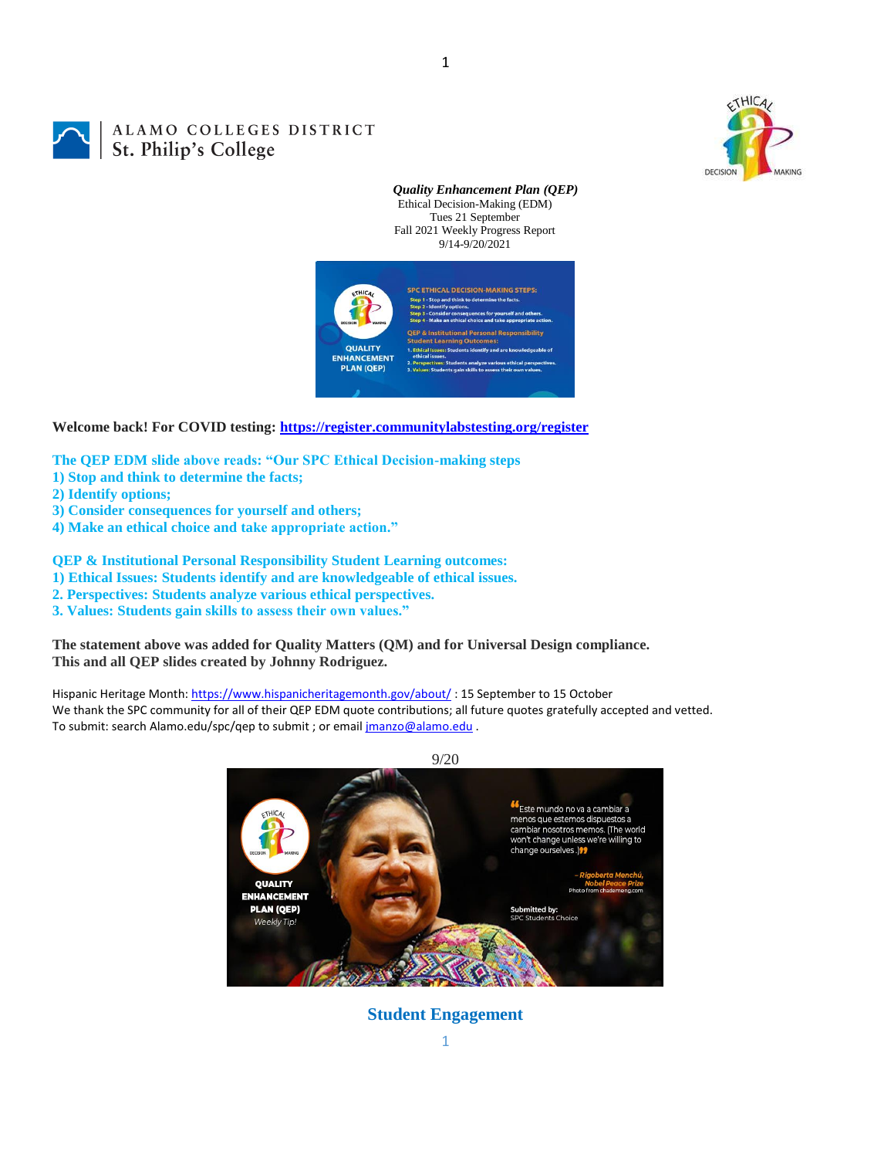

# ALAMO COLLEGES DISTRICT **St. Philip's Colleges**

*Quality Enhancement Plan (QEP)* Ethical Decision-Making (EDM) Tues 21 September Fall 2021 Weekly Progress Report 9/14-9/20/2021



1

**Welcome back! For COVID testing:<https://register.communitylabstesting.org/register>**

**The QEP EDM slide above reads: "Our SPC Ethical Decision-making steps** 

- **1) Stop and think to determine the facts;**
- **2) Identify options;**
- **3) Consider consequences for yourself and others;**
- **4) Make an ethical choice and take appropriate action."**

**QEP & Institutional Personal Responsibility Student Learning outcomes:** 

**1) Ethical Issues: Students identify and are knowledgeable of ethical issues.** 

- **2. Perspectives: Students analyze various ethical perspectives.**
- **3. Values: Students gain skills to assess their own values."**

**The statement above was added for Quality Matters (QM) and for Universal Design compliance. This and all QEP slides created by Johnny Rodriguez.**

Hispanic Heritage Month[: https://www.hispanicheritagemonth.gov/about/](https://www.hispanicheritagemonth.gov/about/): 15 September to 15 October We thank the SPC community for all of their QEP EDM quote contributions; all future quotes gratefully accepted and vetted. To submit: search Alamo.edu/spc/qep to submit ; or email *jmanzo@alamo.edu* .



**Student Engagement**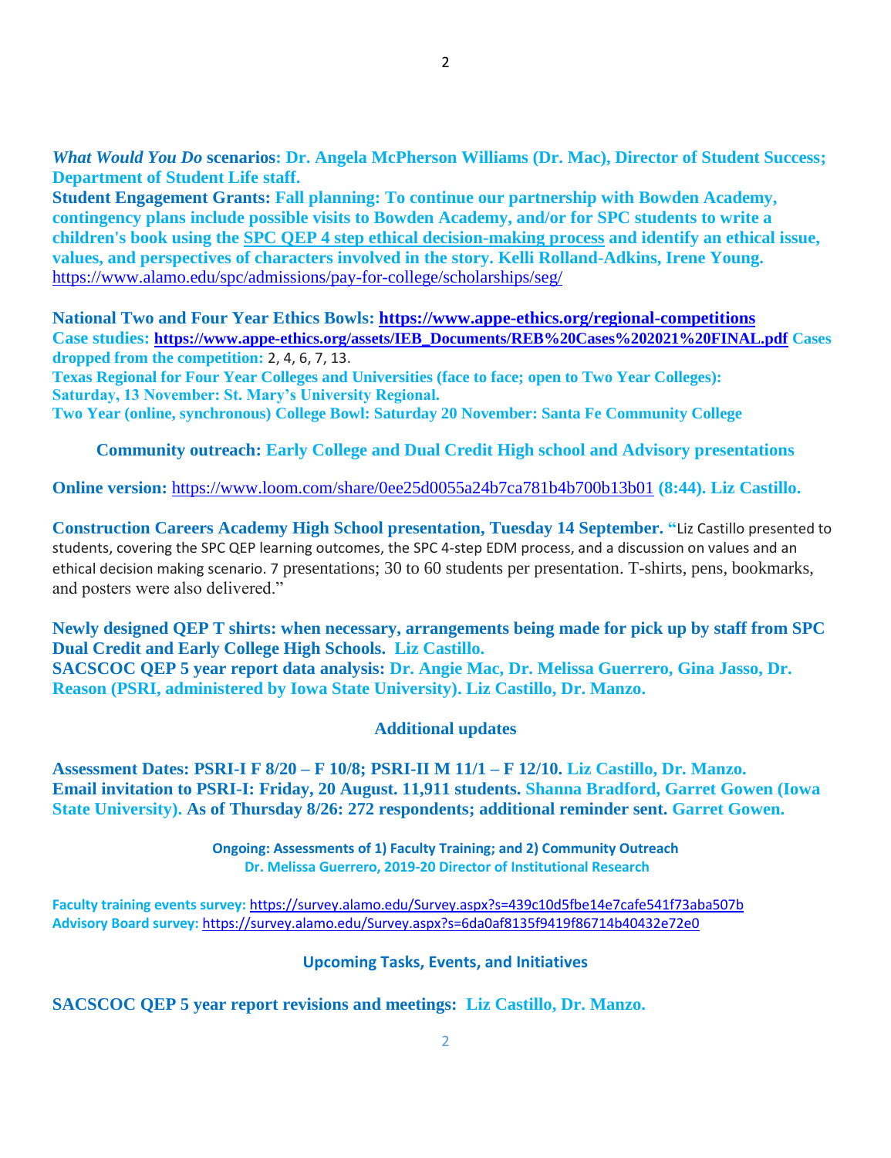*What Would You Do* **scenarios: Dr. Angela McPherson Williams (Dr. Mac), Director of Student Success; Department of Student Life staff.**

**Student Engagement Grants: Fall planning: To continue our partnership with Bowden Academy, contingency plans include possible visits to Bowden Academy, and/or for SPC students to write a children's book using the [SPC QEP 4 step ethical decision-making process](https://mail.alamo.edu/owa/redir.aspx?REF=QPGGgOE-3HbbrbCAzqBFQWbtY3e2Gc0f0qSFld99-4hqZWSPr8DYCAFodHRwczovL3d3dy5hbGFtby5lZHUvbGluay8zYjg5NjQxMTY3MGY0YTZlYjU2MzNkNGFmNjE1OTBjNC5hc3B4) and identify an ethical issue, values, and perspectives of characters involved in the story. Kelli Rolland-Adkins, Irene Young.** <https://www.alamo.edu/spc/admissions/pay-for-college/scholarships/seg/>

**National Two and Four Year Ethics Bowls: <https://www.appe-ethics.org/regional-competitions> Case studies: [https://www.appe-ethics.org/assets/IEB\\_Documents/REB%20Cases%202021%20FINAL.pdf](https://www.appe-ethics.org/assets/IEB_Documents/REB%20Cases%202021%20FINAL.pdf) Cases dropped from the competition:** 2, 4, 6, 7, 13.

**Texas Regional for Four Year Colleges and Universities (face to face; open to Two Year Colleges): Saturday, 13 November: St. Mary's University Regional. Two Year (online, synchronous) College Bowl: Saturday 20 November: Santa Fe Community College**

**Community outreach: Early College and Dual Credit High school and Advisory presentations**

**Online version:** <https://www.loom.com/share/0ee25d0055a24b7ca781b4b700b13b01> **(8:44). Liz Castillo.**

**Construction Careers Academy High School presentation, Tuesday 14 September. "**Liz Castillo presented to students, covering the SPC QEP learning outcomes, the SPC 4-step EDM process, and a discussion on values and an ethical decision making scenario. 7 presentations; 30 to 60 students per presentation. T-shirts, pens, bookmarks, and posters were also delivered."

**Newly designed QEP T shirts: when necessary, arrangements being made for pick up by staff from SPC Dual Credit and Early College High Schools. Liz Castillo. SACSCOC QEP 5 year report data analysis: Dr. Angie Mac, Dr. Melissa Guerrero, Gina Jasso, Dr. Reason (PSRI, administered by Iowa State University). Liz Castillo, Dr. Manzo.**

# **Additional updates**

**Assessment Dates: PSRI-I F 8/20 – F 10/8; PSRI-II M 11/1 – F 12/10. Liz Castillo, Dr. Manzo. Email invitation to PSRI-I: Friday, 20 August. 11,911 students. Shanna Bradford, Garret Gowen (Iowa State University). As of Thursday 8/26: 272 respondents; additional reminder sent. Garret Gowen.**

> **Ongoing: Assessments of 1) Faculty Training; and 2) Community Outreach Dr. Melissa Guerrero, 2019-20 Director of Institutional Research**

**Faculty training events survey:** <https://survey.alamo.edu/Survey.aspx?s=439c10d5fbe14e7cafe541f73aba507b> **Advisory Board survey:** [https://survey.alamo.edu/Survey.aspx?s=6da0af8135f9419f86714b40432e72e0](https://mail.alamo.edu/owa/redir.aspx?C=ltSuwFrmmhFPV6kAmiCFHriyLNGIl0PeNuaCUMi1FWtl6dwQ6ubXCA..&URL=https%3a%2f%2fsurvey.alamo.edu%2fSurvey.aspx%3fs%3d6da0af8135f9419f86714b40432e72e0)

## **Upcoming Tasks, Events, and Initiatives**

**SACSCOC QEP 5 year report revisions and meetings: Liz Castillo, Dr. Manzo.**